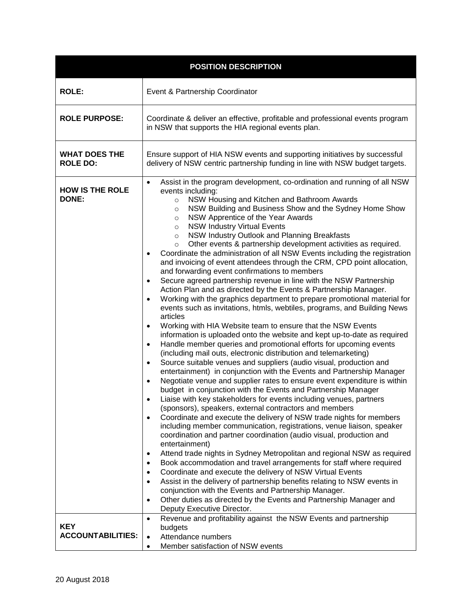| <b>POSITION DESCRIPTION</b>             |                                                                                                                                                                                                                                                                                                                                                                                                                                                                                                                                                                                                                                                                                                                                                                                                                                                                                                                                                                                                                                                                                                                                                                                                                                                                                                                                                                                                                                                                                                                                                                                                                                                                                                                                                                                                                                                                                                                                                                                                                                                                                                                                                                                                                                                                                                                                                                                                                                                                                                                                                                             |
|-----------------------------------------|-----------------------------------------------------------------------------------------------------------------------------------------------------------------------------------------------------------------------------------------------------------------------------------------------------------------------------------------------------------------------------------------------------------------------------------------------------------------------------------------------------------------------------------------------------------------------------------------------------------------------------------------------------------------------------------------------------------------------------------------------------------------------------------------------------------------------------------------------------------------------------------------------------------------------------------------------------------------------------------------------------------------------------------------------------------------------------------------------------------------------------------------------------------------------------------------------------------------------------------------------------------------------------------------------------------------------------------------------------------------------------------------------------------------------------------------------------------------------------------------------------------------------------------------------------------------------------------------------------------------------------------------------------------------------------------------------------------------------------------------------------------------------------------------------------------------------------------------------------------------------------------------------------------------------------------------------------------------------------------------------------------------------------------------------------------------------------------------------------------------------------------------------------------------------------------------------------------------------------------------------------------------------------------------------------------------------------------------------------------------------------------------------------------------------------------------------------------------------------------------------------------------------------------------------------------------------------|
| <b>ROLE:</b>                            | Event & Partnership Coordinator                                                                                                                                                                                                                                                                                                                                                                                                                                                                                                                                                                                                                                                                                                                                                                                                                                                                                                                                                                                                                                                                                                                                                                                                                                                                                                                                                                                                                                                                                                                                                                                                                                                                                                                                                                                                                                                                                                                                                                                                                                                                                                                                                                                                                                                                                                                                                                                                                                                                                                                                             |
| <b>ROLE PURPOSE:</b>                    | Coordinate & deliver an effective, profitable and professional events program<br>in NSW that supports the HIA regional events plan.                                                                                                                                                                                                                                                                                                                                                                                                                                                                                                                                                                                                                                                                                                                                                                                                                                                                                                                                                                                                                                                                                                                                                                                                                                                                                                                                                                                                                                                                                                                                                                                                                                                                                                                                                                                                                                                                                                                                                                                                                                                                                                                                                                                                                                                                                                                                                                                                                                         |
| <b>WHAT DOES THE</b><br><b>ROLE DO:</b> | Ensure support of HIA NSW events and supporting initiatives by successful<br>delivery of NSW centric partnership funding in line with NSW budget targets.                                                                                                                                                                                                                                                                                                                                                                                                                                                                                                                                                                                                                                                                                                                                                                                                                                                                                                                                                                                                                                                                                                                                                                                                                                                                                                                                                                                                                                                                                                                                                                                                                                                                                                                                                                                                                                                                                                                                                                                                                                                                                                                                                                                                                                                                                                                                                                                                                   |
| <b>HOW IS THE ROLE</b><br>DONE:         | Assist in the program development, co-ordination and running of all NSW<br>$\bullet$<br>events including:<br>NSW Housing and Kitchen and Bathroom Awards<br>$\circ$<br>NSW Building and Business Show and the Sydney Home Show<br>$\circ$<br>NSW Apprentice of the Year Awards<br>$\circ$<br><b>NSW Industry Virtual Events</b><br>$\circ$<br>NSW Industry Outlook and Planning Breakfasts<br>$\circ$<br>Other events & partnership development activities as required.<br>$\circ$<br>Coordinate the administration of all NSW Events including the registration<br>and invoicing of event attendees through the CRM, CPD point allocation,<br>and forwarding event confirmations to members<br>Secure agreed partnership revenue in line with the NSW Partnership<br>٠<br>Action Plan and as directed by the Events & Partnership Manager.<br>Working with the graphics department to prepare promotional material for<br>$\bullet$<br>events such as invitations, htmls, webtiles, programs, and Building News<br>articles<br>Working with HIA Website team to ensure that the NSW Events<br>٠<br>information is uploaded onto the website and kept up-to-date as required<br>Handle member queries and promotional efforts for upcoming events<br>$\bullet$<br>(including mail outs, electronic distribution and telemarketing)<br>Source suitable venues and suppliers (audio visual, production and<br>٠<br>entertainment) in conjunction with the Events and Partnership Manager<br>Negotiate venue and supplier rates to ensure event expenditure is within<br>$\bullet$<br>budget in conjunction with the Events and Partnership Manager<br>Liaise with key stakeholders for events including venues, partners<br>(sponsors), speakers, external contractors and members<br>Coordinate and execute the delivery of NSW trade nights for members<br>including member communication, registrations, venue liaison, speaker<br>coordination and partner coordination (audio visual, production and<br>entertainment)<br>Attend trade nights in Sydney Metropolitan and regional NSW as required<br>٠<br>Book accommodation and travel arrangements for staff where required<br>٠<br>Coordinate and execute the delivery of NSW Virtual Events<br>Assist in the delivery of partnership benefits relating to NSW events in<br>$\bullet$<br>conjunction with the Events and Partnership Manager.<br>Other duties as directed by the Events and Partnership Manager and<br>Deputy Executive Director.<br>Revenue and profitability against the NSW Events and partnership |
| <b>KEY</b><br><b>ACCOUNTABILITIES:</b>  | budgets<br>Attendance numbers<br>٠<br>Member satisfaction of NSW events<br>$\bullet$                                                                                                                                                                                                                                                                                                                                                                                                                                                                                                                                                                                                                                                                                                                                                                                                                                                                                                                                                                                                                                                                                                                                                                                                                                                                                                                                                                                                                                                                                                                                                                                                                                                                                                                                                                                                                                                                                                                                                                                                                                                                                                                                                                                                                                                                                                                                                                                                                                                                                        |